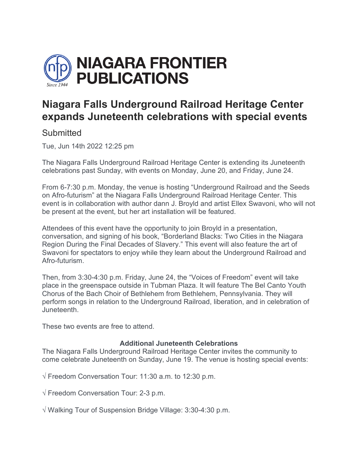

## **Niagara Falls Underground Railroad Heritage Center expands Juneteenth celebrations with special events**

## **Submitted**

Tue, Jun 14th 2022 12:25 pm

The Niagara Falls Underground Railroad Heritage Center is extending its Juneteenth celebrations past Sunday, with events on Monday, June 20, and Friday, June 24.

From 6-7:30 p.m. Monday, the venue is hosting "Underground Railroad and the Seeds on Afro-futurism" at the Niagara Falls Underground Railroad Heritage Center. This event is in collaboration with author dann J. Broyld and artist Ellex Swavoni, who will not be present at the event, but her art installation will be featured.

Attendees of this event have the opportunity to join Broyld in a presentation, conversation, and signing of his book, "Borderland Blacks: Two Cities in the Niagara Region During the Final Decades of Slavery." This event will also feature the art of Swavoni for spectators to enjoy while they learn about the Underground Railroad and Afro-futurism.

Then, from 3:30-4:30 p.m. Friday, June 24, the "Voices of Freedom" event will take place in the greenspace outside in Tubman Plaza. It will feature The Bel Canto Youth Chorus of the Bach Choir of Bethlehem from Bethlehem, Pennsylvania. They will perform songs in relation to the Underground Railroad, liberation, and in celebration of Juneteenth.

These two events are free to attend.

## **Additional Juneteenth Celebrations**

The Niagara Falls Underground Railroad Heritage Center invites the community to come celebrate Juneteenth on Sunday, June 19. The venue is hosting special events:

√ Freedom Conversation Tour: 11:30 a.m. to 12:30 p.m.

√ Freedom Conversation Tour: 2-3 p.m.

√ Walking Tour of Suspension Bridge Village: 3:30-4:30 p.m.